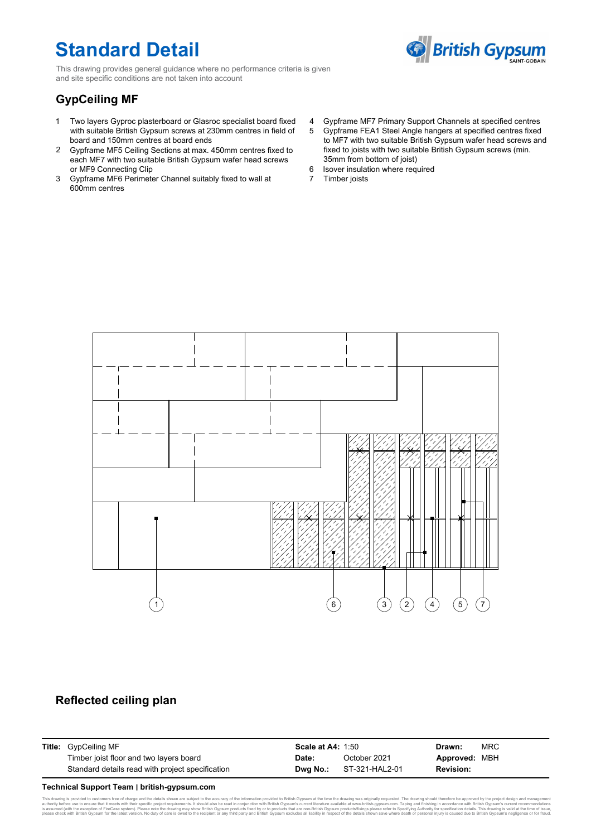## **Standard Detail**

**British Gypsum** 

This drawing provides general guidance where no performance criteria is given and site specific conditions are not taken into account

## **GypCeiling MF**

- 1 Two layers Gyproc plasterboard or Glasroc specialist board fixed with suitable British Gypsum screws at 230mm centres in field of 5 board and 150mm centres at board ends
- 2 Gypframe MF5 Ceiling Sections at max. 450mm centres fixed to each MF7 with two suitable British Gypsum wafer head screws or MF9 Connecting Clip
- 3 Gypframe MF6 Perimeter Channel suitably fixed to wall at 600mm centres
- 4 Gypframe MF7 Primary Support Channels at specified centres
- Gypframe FEA1 Steel Angle hangers at specified centres fixed 5 to MF7 with two suitable British Gypsum wafer head screws and fixed to joists with two suitable British Gypsum screws (min. 35mm from bottom of joist)
- 6 Isover insulation where required
- 7 Timber joists



### **Reflected ceiling plan**

| <b>Title:</b> GypCeiling MF                      | <b>Scale at A4: 1:50</b> |                                | Drawn:           | <b>MRC</b> |
|--------------------------------------------------|--------------------------|--------------------------------|------------------|------------|
| Timber joist floor and two layers board          | Date:                    | October 2021                   | Approved: MBH    |            |
| Standard details read with project specification |                          | <b>Dwa No.:</b> ST-321-HAL2-01 | <b>Revision:</b> |            |

#### **Technical Support Team ׀ british-gypsum.com**

This drawing is provided to ustomers free of charge and the details shown are subject to the accuracy of the information provided By pown at the streamed in controller to the form of the information proportion in the metha